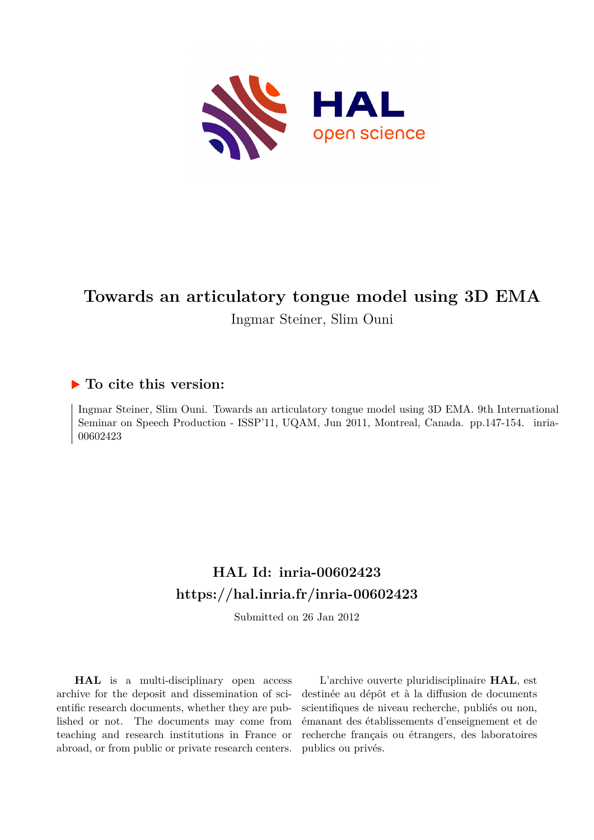

# **Towards an articulatory tongue model using 3D EMA**

Ingmar Steiner, Slim Ouni

## **To cite this version:**

Ingmar Steiner, Slim Ouni. Towards an articulatory tongue model using 3D EMA. 9th International Seminar on Speech Production - ISSP'11, UQAM, Jun 2011, Montreal, Canada. pp. 147-154. inria-00602423

# **HAL Id: inria-00602423 <https://hal.inria.fr/inria-00602423>**

Submitted on 26 Jan 2012

**HAL** is a multi-disciplinary open access archive for the deposit and dissemination of scientific research documents, whether they are published or not. The documents may come from teaching and research institutions in France or abroad, or from public or private research centers.

L'archive ouverte pluridisciplinaire **HAL**, est destinée au dépôt et à la diffusion de documents scientifiques de niveau recherche, publiés ou non, émanant des établissements d'enseignement et de recherche français ou étrangers, des laboratoires publics ou privés.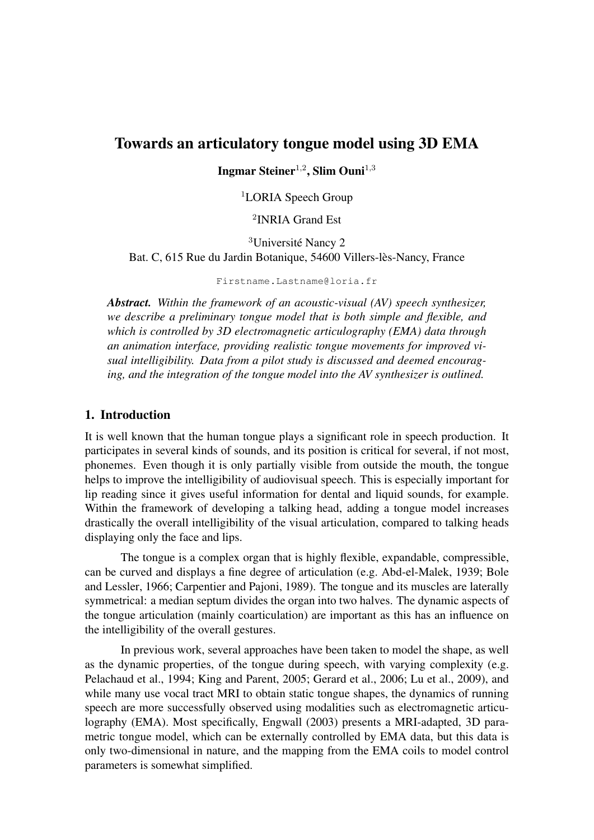### Towards an articulatory tongue model using 3D EMA

Ingmar Steiner<sup>1,2</sup>, Slim Ouni<sup>1,3</sup>

<sup>1</sup>LORIA Speech Group

2 INRIA Grand Est

<sup>3</sup>Université Nancy 2 Bat. C, 615 Rue du Jardin Botanique, 54600 Villers-lès-Nancy, France

Firstname.Lastname@loria.fr

*Abstract. Within the framework of an acoustic-visual (AV) speech synthesizer, we describe a preliminary tongue model that is both simple and flexible, and which is controlled by 3D electromagnetic articulography (EMA) data through an animation interface, providing realistic tongue movements for improved visual intelligibility. Data from a pilot study is discussed and deemed encouraging, and the integration of the tongue model into the AV synthesizer is outlined.*

#### <span id="page-1-0"></span>1. Introduction

It is well known that the human tongue plays a significant role in speech production. It participates in several kinds of sounds, and its position is critical for several, if not most, phonemes. Even though it is only partially visible from outside the mouth, the tongue helps to improve the intelligibility of audiovisual speech. This is especially important for lip reading since it gives useful information for dental and liquid sounds, for example. Within the framework of developing a talking head, adding a tongue model increases drastically the overall intelligibility of the visual articulation, compared to talking heads displaying only the face and lips.

The tongue is a complex organ that is highly flexible, expandable, compressible, can be curved and displays a fine degree of articulation (e.g. [Abd-el-Malek, 1939;](#page-7-0) [Bole](#page-7-1) [and Lessler, 1966;](#page-7-1) [Carpentier and Pajoni, 1989\)](#page-7-2). The tongue and its muscles are laterally symmetrical: a median septum divides the organ into two halves. The dynamic aspects of the tongue articulation (mainly coarticulation) are important as this has an influence on the intelligibility of the overall gestures.

In previous work, several approaches have been taken to model the shape, as well as the dynamic properties, of the tongue during speech, with varying complexity (e.g. [Pelachaud et al., 1994;](#page-8-0) [King and Parent, 2005;](#page-7-3) [Gerard et al., 2006;](#page-7-4) [Lu et al., 2009\)](#page-8-1), and while many use vocal tract MRI to obtain static tongue shapes, the dynamics of running speech are more successfully observed using modalities such as electromagnetic articulography (EMA). Most specifically, [Engwall](#page-7-5) [\(2003\)](#page-7-5) presents a MRI-adapted, 3D parametric tongue model, which can be externally controlled by EMA data, but this data is only two-dimensional in nature, and the mapping from the EMA coils to model control parameters is somewhat simplified.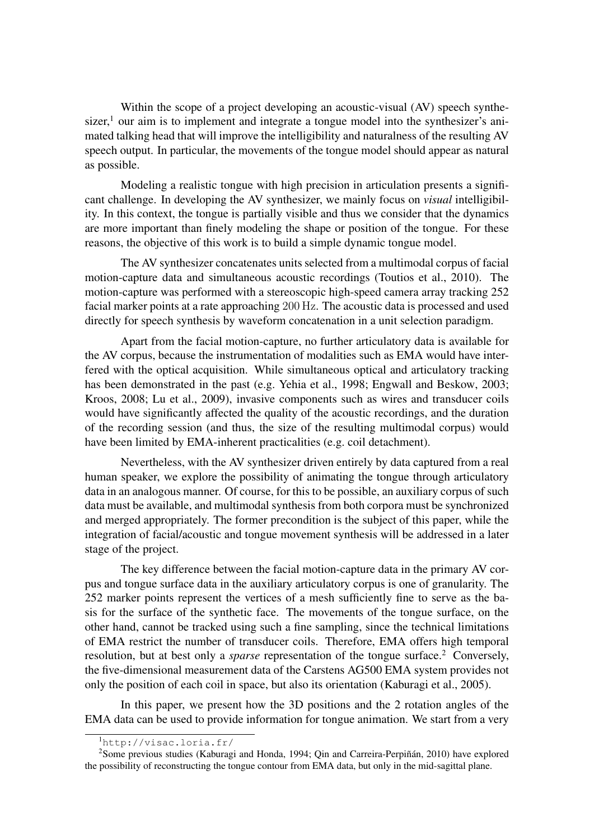Within the scope of a project developing an acoustic-visual (AV) speech synthesizer, $<sup>1</sup>$  $<sup>1</sup>$  $<sup>1</sup>$  our aim is to implement and integrate a tongue model into the synthesizer's ani-</sup> mated talking head that will improve the intelligibility and naturalness of the resulting AV speech output. In particular, the movements of the tongue model should appear as natural as possible.

Modeling a realistic tongue with high precision in articulation presents a significant challenge. In developing the AV synthesizer, we mainly focus on *visual* intelligibility. In this context, the tongue is partially visible and thus we consider that the dynamics are more important than finely modeling the shape or position of the tongue. For these reasons, the objective of this work is to build a simple dynamic tongue model.

The AV synthesizer concatenates units selected from a multimodal corpus of facial motion-capture data and simultaneous acoustic recordings [\(Toutios et al., 2010\)](#page-8-2). The motion-capture was performed with a stereoscopic high-speed camera array tracking 252 facial marker points at a rate approaching 200 Hz. The acoustic data is processed and used directly for speech synthesis by waveform concatenation in a unit selection paradigm.

Apart from the facial motion-capture, no further articulatory data is available for the AV corpus, because the instrumentation of modalities such as EMA would have interfered with the optical acquisition. While simultaneous optical and articulatory tracking has been demonstrated in the past (e.g. [Yehia et al., 1998;](#page-8-3) [Engwall and Beskow, 2003;](#page-7-6) [Kroos, 2008;](#page-8-4) [Lu et al., 2009\)](#page-8-1), invasive components such as wires and transducer coils would have significantly affected the quality of the acoustic recordings, and the duration of the recording session (and thus, the size of the resulting multimodal corpus) would have been limited by EMA-inherent practicalities (e.g. coil detachment).

Nevertheless, with the AV synthesizer driven entirely by data captured from a real human speaker, we explore the possibility of animating the tongue through articulatory data in an analogous manner. Of course, for this to be possible, an auxiliary corpus of such data must be available, and multimodal synthesis from both corpora must be synchronized and merged appropriately. The former precondition is the subject of this paper, while the integration of facial/acoustic and tongue movement synthesis will be addressed in a later stage of the project.

The key difference between the facial motion-capture data in the primary AV corpus and tongue surface data in the auxiliary articulatory corpus is one of granularity. The 252 marker points represent the vertices of a mesh sufficiently fine to serve as the basis for the surface of the synthetic face. The movements of the tongue surface, on the other hand, cannot be tracked using such a fine sampling, since the technical limitations of EMA restrict the number of transducer coils. Therefore, EMA offers high temporal resolution, but at best only a *sparse* representation of the tongue surface.<sup>[2](#page-2-1)</sup> Conversely, the five-dimensional measurement data of the Carstens AG500 EMA system provides not only the position of each coil in space, but also its orientation [\(Kaburagi et al., 2005\)](#page-7-7).

In this paper, we present how the 3D positions and the 2 rotation angles of the EMA data can be used to provide information for tongue animation. We start from a very

<span id="page-2-1"></span><span id="page-2-0"></span><sup>1</sup><http://visac.loria.fr/>

<sup>&</sup>lt;sup>2</sup>Some previous studies [\(Kaburagi and Honda, 1994;](#page-7-8) Qin and Carreira-Perpiñán, 2010) have explored the possibility of reconstructing the tongue contour from EMA data, but only in the mid-sagittal plane.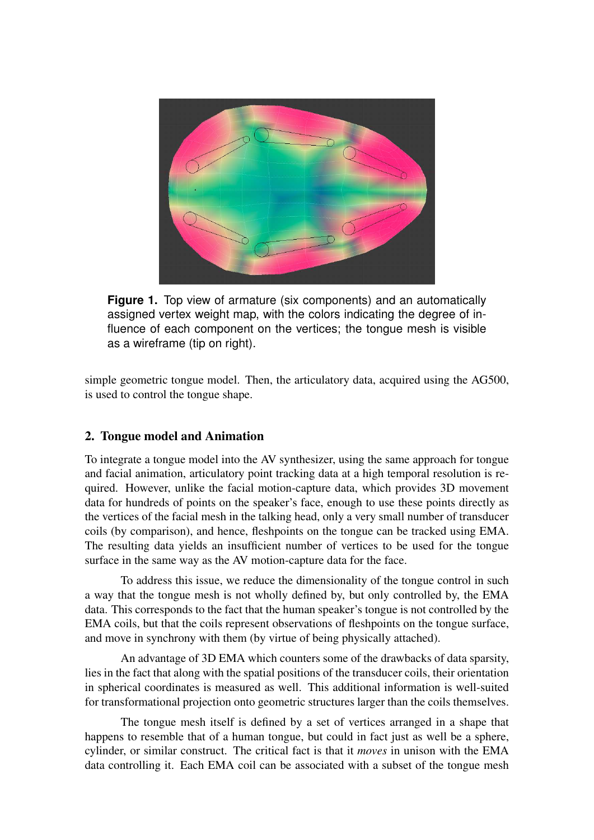<span id="page-3-0"></span>

**Figure 1.** Top view of armature (six components) and an automatically assigned vertex weight map, with the colors indicating the degree of influence of each component on the vertices; the tongue mesh is visible as a wireframe (tip on right).

simple geometric tongue model. Then, the articulatory data, acquired using the AG500, is used to control the tongue shape.

#### 2. Tongue model and Animation

To integrate a tongue model into the AV synthesizer, using the same approach for tongue and facial animation, articulatory point tracking data at a high temporal resolution is required. However, unlike the facial motion-capture data, which provides 3D movement data for hundreds of points on the speaker's face, enough to use these points directly as the vertices of the facial mesh in the talking head, only a very small number of transducer coils (by comparison), and hence, fleshpoints on the tongue can be tracked using EMA. The resulting data yields an insufficient number of vertices to be used for the tongue surface in the same way as the AV motion-capture data for the face.

To address this issue, we reduce the dimensionality of the tongue control in such a way that the tongue mesh is not wholly defined by, but only controlled by, the EMA data. This corresponds to the fact that the human speaker's tongue is not controlled by the EMA coils, but that the coils represent observations of fleshpoints on the tongue surface, and move in synchrony with them (by virtue of being physically attached).

An advantage of 3D EMA which counters some of the drawbacks of data sparsity, lies in the fact that along with the spatial positions of the transducer coils, their orientation in spherical coordinates is measured as well. This additional information is well-suited for transformational projection onto geometric structures larger than the coils themselves.

The tongue mesh itself is defined by a set of vertices arranged in a shape that happens to resemble that of a human tongue, but could in fact just as well be a sphere, cylinder, or similar construct. The critical fact is that it *moves* in unison with the EMA data controlling it. Each EMA coil can be associated with a subset of the tongue mesh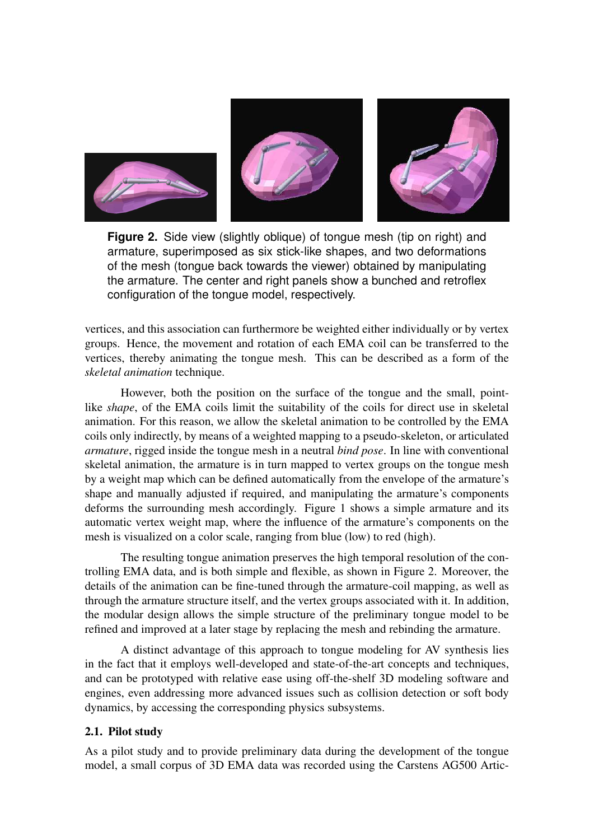<span id="page-4-0"></span>

**Figure 2.** Side view (slightly oblique) of tongue mesh (tip on right) and armature, superimposed as six stick-like shapes, and two deformations of the mesh (tongue back towards the viewer) obtained by manipulating the armature. The center and right panels show a bunched and retroflex configuration of the tongue model, respectively.

vertices, and this association can furthermore be weighted either individually or by vertex groups. Hence, the movement and rotation of each EMA coil can be transferred to the vertices, thereby animating the tongue mesh. This can be described as a form of the *skeletal animation* technique.

However, both the position on the surface of the tongue and the small, pointlike *shape*, of the EMA coils limit the suitability of the coils for direct use in skeletal animation. For this reason, we allow the skeletal animation to be controlled by the EMA coils only indirectly, by means of a weighted mapping to a pseudo-skeleton, or articulated *armature*, rigged inside the tongue mesh in a neutral *bind pose*. In line with conventional skeletal animation, the armature is in turn mapped to vertex groups on the tongue mesh by a weight map which can be defined automatically from the envelope of the armature's shape and manually adjusted if required, and manipulating the armature's components deforms the surrounding mesh accordingly. [Figure 1](#page-3-0) shows a simple armature and its automatic vertex weight map, where the influence of the armature's components on the mesh is visualized on a color scale, ranging from blue (low) to red (high).

The resulting tongue animation preserves the high temporal resolution of the controlling EMA data, and is both simple and flexible, as shown in [Figure 2.](#page-4-0) Moreover, the details of the animation can be fine-tuned through the armature-coil mapping, as well as through the armature structure itself, and the vertex groups associated with it. In addition, the modular design allows the simple structure of the preliminary tongue model to be refined and improved at a later stage by replacing the mesh and rebinding the armature.

A distinct advantage of this approach to tongue modeling for AV synthesis lies in the fact that it employs well-developed and state-of-the-art concepts and techniques, and can be prototyped with relative ease using off-the-shelf 3D modeling software and engines, even addressing more advanced issues such as collision detection or soft body dynamics, by accessing the corresponding physics subsystems.

#### 2.1. Pilot study

As a pilot study and to provide preliminary data during the development of the tongue model, a small corpus of 3D EMA data was recorded using the Carstens AG500 Artic-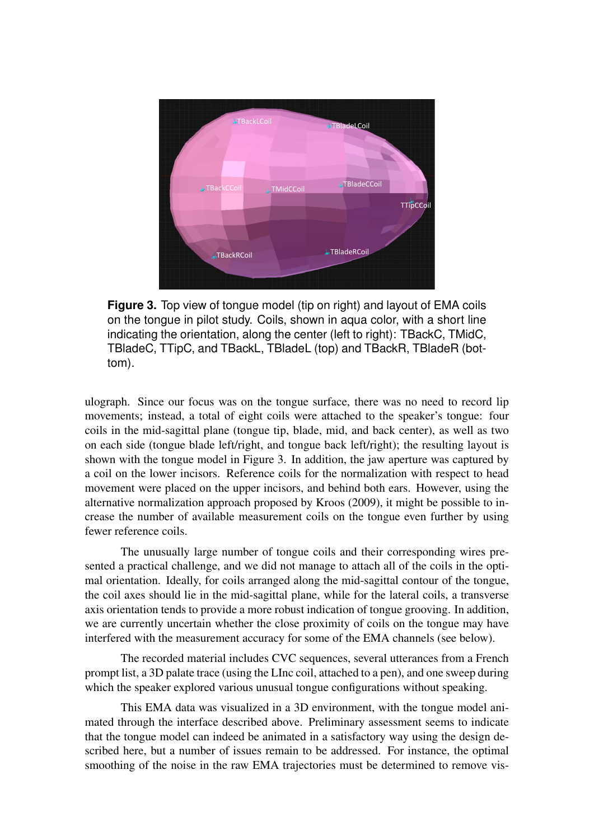<span id="page-5-0"></span>

**Figure 3.** Top view of tongue model (tip on right) and layout of EMA coils on the tongue in pilot study. Coils, shown in aqua color, with a short line indicating the orientation, along the center (left to right): TBackC, TMidC, TBladeC, TTipC, and TBackL, TBladeL (top) and TBackR, TBladeR (bottom).

ulograph. Since our focus was on the tongue surface, there was no need to record lip movements; instead, a total of eight coils were attached to the speaker's tongue: four coils in the mid-sagittal plane (tongue tip, blade, mid, and back center), as well as two on each side (tongue blade left/right, and tongue back left/right); the resulting layout is shown with the tongue model in [Figure 3.](#page-5-0) In addition, the jaw aperture was captured by a coil on the lower incisors. Reference coils for the normalization with respect to head movement were placed on the upper incisors, and behind both ears. However, using the alternative normalization approach proposed by [Kroos](#page-8-6) [\(2009\)](#page-8-6), it might be possible to increase the number of available measurement coils on the tongue even further by using fewer reference coils.

The unusually large number of tongue coils and their corresponding wires presented a practical challenge, and we did not manage to attach all of the coils in the optimal orientation. Ideally, for coils arranged along the mid-sagittal contour of the tongue, the coil axes should lie in the mid-sagittal plane, while for the lateral coils, a transverse axis orientation tends to provide a more robust indication of tongue grooving. In addition, we are currently uncertain whether the close proximity of coils on the tongue may have interfered with the measurement accuracy for some of the EMA channels (see below).

The recorded material includes CVC sequences, several utterances from a French prompt list, a 3D palate trace (using the LInc coil, attached to a pen), and one sweep during which the speaker explored various unusual tongue configurations without speaking.

This EMA data was visualized in a 3D environment, with the tongue model animated through the interface described above. Preliminary assessment seems to indicate that the tongue model can indeed be animated in a satisfactory way using the design described here, but a number of issues remain to be addressed. For instance, the optimal smoothing of the noise in the raw EMA trajectories must be determined to remove vis-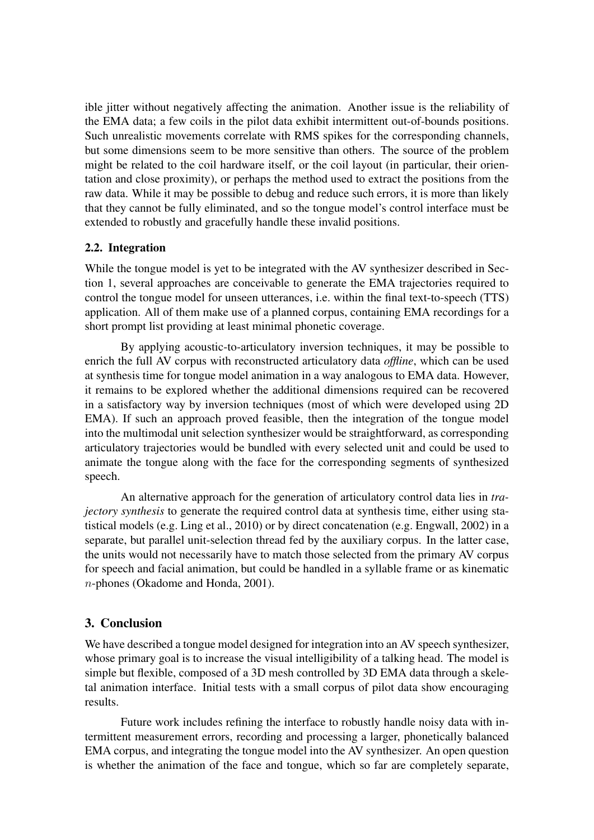ible jitter without negatively affecting the animation. Another issue is the reliability of the EMA data; a few coils in the pilot data exhibit intermittent out-of-bounds positions. Such unrealistic movements correlate with RMS spikes for the corresponding channels, but some dimensions seem to be more sensitive than others. The source of the problem might be related to the coil hardware itself, or the coil layout (in particular, their orientation and close proximity), or perhaps the method used to extract the positions from the raw data. While it may be possible to debug and reduce such errors, it is more than likely that they cannot be fully eliminated, and so the tongue model's control interface must be extended to robustly and gracefully handle these invalid positions.

#### 2.2. Integration

While the tongue model is yet to be integrated with the AV synthesizer described in [Sec](#page-1-0)[tion 1,](#page-1-0) several approaches are conceivable to generate the EMA trajectories required to control the tongue model for unseen utterances, i.e. within the final text-to-speech (TTS) application. All of them make use of a planned corpus, containing EMA recordings for a short prompt list providing at least minimal phonetic coverage.

By applying acoustic-to-articulatory inversion techniques, it may be possible to enrich the full AV corpus with reconstructed articulatory data *offline*, which can be used at synthesis time for tongue model animation in a way analogous to EMA data. However, it remains to be explored whether the additional dimensions required can be recovered in a satisfactory way by inversion techniques (most of which were developed using 2D EMA). If such an approach proved feasible, then the integration of the tongue model into the multimodal unit selection synthesizer would be straightforward, as corresponding articulatory trajectories would be bundled with every selected unit and could be used to animate the tongue along with the face for the corresponding segments of synthesized speech.

An alternative approach for the generation of articulatory control data lies in *trajectory synthesis* to generate the required control data at synthesis time, either using statistical models (e.g. [Ling et al., 2010\)](#page-8-7) or by direct concatenation (e.g. [Engwall, 2002\)](#page-7-9) in a separate, but parallel unit-selection thread fed by the auxiliary corpus. In the latter case, the units would not necessarily have to match those selected from the primary AV corpus for speech and facial animation, but could be handled in a syllable frame or as kinematic n-phones [\(Okadome and Honda, 2001\)](#page-8-8).

#### 3. Conclusion

We have described a tongue model designed for integration into an AV speech synthesizer, whose primary goal is to increase the visual intelligibility of a talking head. The model is simple but flexible, composed of a 3D mesh controlled by 3D EMA data through a skeletal animation interface. Initial tests with a small corpus of pilot data show encouraging results.

Future work includes refining the interface to robustly handle noisy data with intermittent measurement errors, recording and processing a larger, phonetically balanced EMA corpus, and integrating the tongue model into the AV synthesizer. An open question is whether the animation of the face and tongue, which so far are completely separate,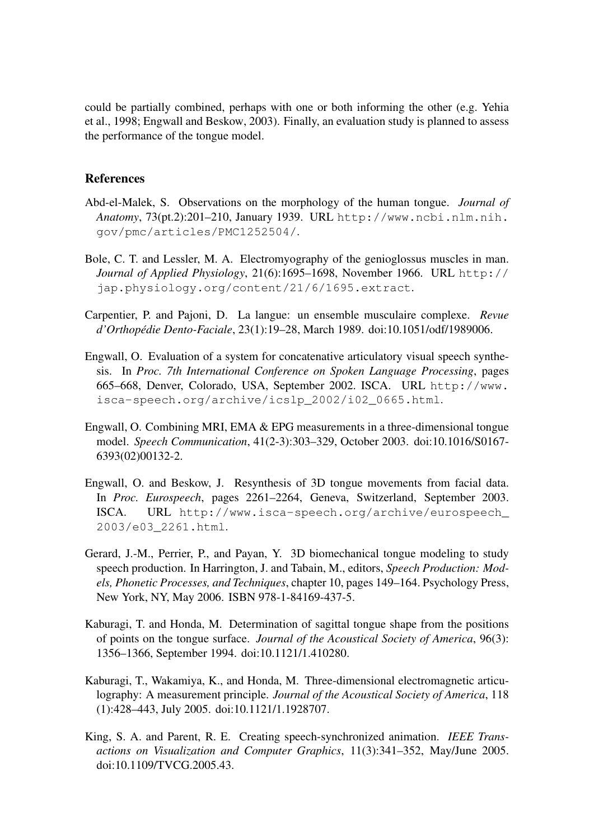could be partially combined, perhaps with one or both informing the other (e.g. [Yehia](#page-8-3) [et al., 1998;](#page-8-3) [Engwall and Beskow, 2003\)](#page-7-6). Finally, an evaluation study is planned to assess the performance of the tongue model.

#### References

- <span id="page-7-0"></span>Abd-el-Malek, S. Observations on the morphology of the human tongue. *Journal of Anatomy*, 73(pt.2):201–210, January 1939. URL [http://www.ncbi.nlm.nih.](http://www.ncbi.nlm.nih.gov/pmc/articles/PMC1252504/) [gov/pmc/articles/PMC1252504/](http://www.ncbi.nlm.nih.gov/pmc/articles/PMC1252504/).
- <span id="page-7-1"></span>Bole, C. T. and Lessler, M. A. Electromyography of the genioglossus muscles in man. *Journal of Applied Physiology*, 21(6):1695–1698, November 1966. URL [http://](http://jap.physiology.org/content/21/6/1695.extract) [jap.physiology.org/content/21/6/1695.extract](http://jap.physiology.org/content/21/6/1695.extract).
- <span id="page-7-2"></span>Carpentier, P. and Pajoni, D. La langue: un ensemble musculaire complexe. *Revue d'Orthopedie Dento-Faciale ´* , 23(1):19–28, March 1989. doi[:10.1051/odf/1989006.](http://dx.doi.org/10.1051/odf/1989006)
- <span id="page-7-9"></span>Engwall, O. Evaluation of a system for concatenative articulatory visual speech synthesis. In *Proc. 7th International Conference on Spoken Language Processing*, pages 665–668, Denver, Colorado, USA, September 2002. ISCA. URL [http://www.](http://www.isca-speech.org/archive/icslp_2002/i02_0665.html) [isca-speech.org/archive/icslp\\_2002/i02\\_0665.html](http://www.isca-speech.org/archive/icslp_2002/i02_0665.html).
- <span id="page-7-5"></span>Engwall, O. Combining MRI, EMA & EPG measurements in a three-dimensional tongue model. *Speech Communication*, 41(2-3):303–329, October 2003. doi[:10.1016/S0167-](http://dx.doi.org/10.1016/S0167-6393(02)00132-2) [6393\(02\)00132-2.](http://dx.doi.org/10.1016/S0167-6393(02)00132-2)
- <span id="page-7-6"></span>Engwall, O. and Beskow, J. Resynthesis of 3D tongue movements from facial data. In *Proc. Eurospeech*, pages 2261–2264, Geneva, Switzerland, September 2003. ISCA. URL [http://www.isca-speech.org/archive/eurospeech\\_](http://www.isca-speech.org/archive/eurospeech_2003/e03_2261.html) [2003/e03\\_2261.html](http://www.isca-speech.org/archive/eurospeech_2003/e03_2261.html).
- <span id="page-7-4"></span>Gerard, J.-M., Perrier, P., and Payan, Y. 3D biomechanical tongue modeling to study speech production. In Harrington, J. and Tabain, M., editors, *Speech Production: Models, Phonetic Processes, and Techniques*, chapter 10, pages 149–164. Psychology Press, New York, NY, May 2006. ISBN 978-1-84169-437-5.
- <span id="page-7-8"></span>Kaburagi, T. and Honda, M. Determination of sagittal tongue shape from the positions of points on the tongue surface. *Journal of the Acoustical Society of America*, 96(3): 1356–1366, September 1994. doi[:10.1121/1.410280.](http://dx.doi.org/10.1121/1.410280)
- <span id="page-7-7"></span>Kaburagi, T., Wakamiya, K., and Honda, M. Three-dimensional electromagnetic articulography: A measurement principle. *Journal of the Acoustical Society of America*, 118 (1):428–443, July 2005. doi[:10.1121/1.1928707.](http://dx.doi.org/10.1121/1.1928707)
- <span id="page-7-3"></span>King, S. A. and Parent, R. E. Creating speech-synchronized animation. *IEEE Transactions on Visualization and Computer Graphics*, 11(3):341–352, May/June 2005. doi[:10.1109/TVCG.2005.43.](http://dx.doi.org/10.1109/TVCG.2005.43)